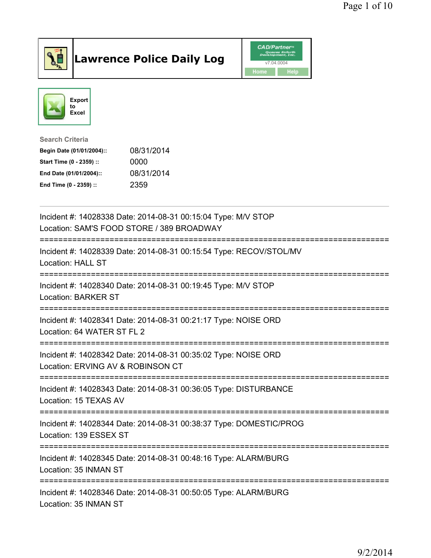

## Lawrence Police Daily Log Value of the CAD/Partner





Search Criteria

| Begin Date (01/01/2004):: | 08/31/2014 |
|---------------------------|------------|
| Start Time (0 - 2359) ::  | 0000       |
| End Date (01/01/2004)::   | 08/31/2014 |
| End Time (0 - 2359) ::    | 2359       |

| Incident #: 14028338 Date: 2014-08-31 00:15:04 Type: M/V STOP<br>Location: SAM'S FOOD STORE / 389 BROADWAY                   |
|------------------------------------------------------------------------------------------------------------------------------|
| Incident #: 14028339 Date: 2014-08-31 00:15:54 Type: RECOV/STOL/MV<br><b>Location: HALL ST</b>                               |
| Incident #: 14028340 Date: 2014-08-31 00:19:45 Type: M/V STOP<br><b>Location: BARKER ST</b>                                  |
| Incident #: 14028341 Date: 2014-08-31 00:21:17 Type: NOISE ORD<br>Location: 64 WATER ST FL 2                                 |
| Incident #: 14028342 Date: 2014-08-31 00:35:02 Type: NOISE ORD<br>Location: ERVING AV & ROBINSON CT<br>--------------------- |
| Incident #: 14028343 Date: 2014-08-31 00:36:05 Type: DISTURBANCE<br>Location: 15 TEXAS AV                                    |
| Incident #: 14028344 Date: 2014-08-31 00:38:37 Type: DOMESTIC/PROG<br>Location: 139 ESSEX ST                                 |
| Incident #: 14028345 Date: 2014-08-31 00:48:16 Type: ALARM/BURG<br>Location: 35 INMAN ST                                     |
| Incident #: 14028346 Date: 2014-08-31 00:50:05 Type: ALARM/BURG<br>Location: 35 INMAN ST                                     |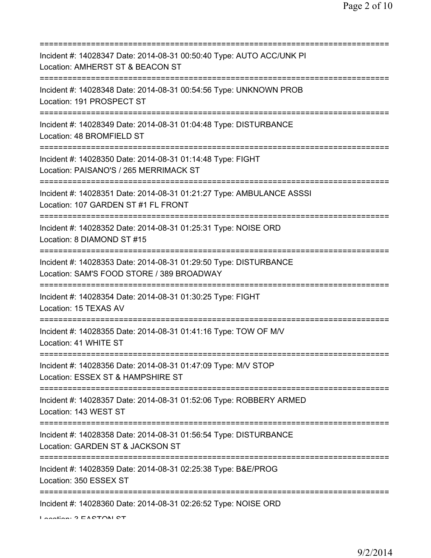| Incident #: 14028347 Date: 2014-08-31 00:50:40 Type: AUTO ACC/UNK PI<br>Location: AMHERST ST & BEACON ST                              |
|---------------------------------------------------------------------------------------------------------------------------------------|
| Incident #: 14028348 Date: 2014-08-31 00:54:56 Type: UNKNOWN PROB<br>Location: 191 PROSPECT ST                                        |
| Incident #: 14028349 Date: 2014-08-31 01:04:48 Type: DISTURBANCE<br>Location: 48 BROMFIELD ST<br>-----------------------------------  |
| Incident #: 14028350 Date: 2014-08-31 01:14:48 Type: FIGHT<br>Location: PAISANO'S / 265 MERRIMACK ST                                  |
| Incident #: 14028351 Date: 2014-08-31 01:21:27 Type: AMBULANCE ASSSI<br>Location: 107 GARDEN ST #1 FL FRONT                           |
| Incident #: 14028352 Date: 2014-08-31 01:25:31 Type: NOISE ORD<br>Location: 8 DIAMOND ST #15<br>;==================================== |
| Incident #: 14028353 Date: 2014-08-31 01:29:50 Type: DISTURBANCE<br>Location: SAM'S FOOD STORE / 389 BROADWAY                         |
| Incident #: 14028354 Date: 2014-08-31 01:30:25 Type: FIGHT<br>Location: 15 TEXAS AV                                                   |
| Incident #: 14028355 Date: 2014-08-31 01:41:16 Type: TOW OF M/V<br>Location: 41 WHITE ST                                              |
| Incident #: 14028356 Date: 2014-08-31 01:47:09 Type: M/V STOP<br>Location: ESSEX ST & HAMPSHIRE ST                                    |
| Incident #: 14028357 Date: 2014-08-31 01:52:06 Type: ROBBERY ARMED<br>Location: 143 WEST ST                                           |
| Incident #: 14028358 Date: 2014-08-31 01:56:54 Type: DISTURBANCE<br>Location: GARDEN ST & JACKSON ST                                  |
| Incident #: 14028359 Date: 2014-08-31 02:25:38 Type: B&E/PROG<br>Location: 350 ESSEX ST                                               |
| Incident #: 14028360 Date: 2014-08-31 02:26:52 Type: NOISE ORD                                                                        |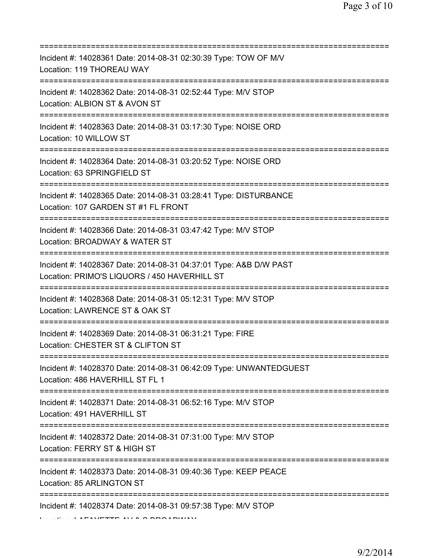| Incident #: 14028361 Date: 2014-08-31 02:30:39 Type: TOW OF M/V<br>Location: 119 THOREAU WAY                                      |
|-----------------------------------------------------------------------------------------------------------------------------------|
| Incident #: 14028362 Date: 2014-08-31 02:52:44 Type: M/V STOP<br>Location: ALBION ST & AVON ST                                    |
| Incident #: 14028363 Date: 2014-08-31 03:17:30 Type: NOISE ORD<br>Location: 10 WILLOW ST<br>===================================== |
| Incident #: 14028364 Date: 2014-08-31 03:20:52 Type: NOISE ORD<br>Location: 63 SPRINGFIELD ST                                     |
| Incident #: 14028365 Date: 2014-08-31 03:28:41 Type: DISTURBANCE<br>Location: 107 GARDEN ST #1 FL FRONT                           |
| Incident #: 14028366 Date: 2014-08-31 03:47:42 Type: M/V STOP<br>Location: BROADWAY & WATER ST                                    |
| Incident #: 14028367 Date: 2014-08-31 04:37:01 Type: A&B D/W PAST<br>Location: PRIMO'S LIQUORS / 450 HAVERHILL ST                 |
| Incident #: 14028368 Date: 2014-08-31 05:12:31 Type: M/V STOP<br>Location: LAWRENCE ST & OAK ST                                   |
| Incident #: 14028369 Date: 2014-08-31 06:31:21 Type: FIRE<br>Location: CHESTER ST & CLIFTON ST                                    |
| Incident #: 14028370 Date: 2014-08-31 06:42:09 Type: UNWANTEDGUEST<br>Location: 486 HAVERHILL ST FL 1                             |
| Incident #: 14028371 Date: 2014-08-31 06:52:16 Type: M/V STOP<br>Location: 491 HAVERHILL ST                                       |
| Incident #: 14028372 Date: 2014-08-31 07:31:00 Type: M/V STOP<br>Location: FERRY ST & HIGH ST                                     |
| Incident #: 14028373 Date: 2014-08-31 09:40:36 Type: KEEP PEACE<br>Location: 85 ARLINGTON ST                                      |
| ============================<br>Incident #: 14028374 Date: 2014-08-31 09:57:38 Type: M/V STOP                                     |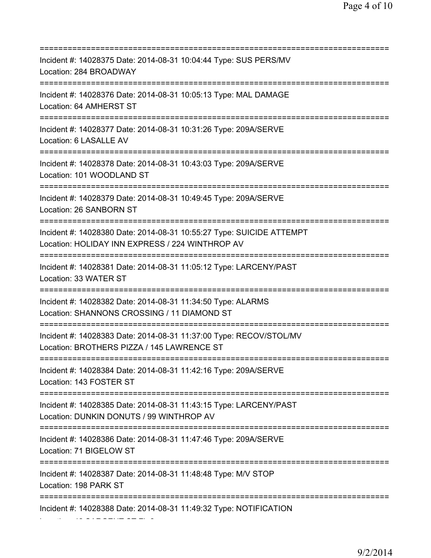=========================================================================== Incident #: 14028375 Date: 2014-08-31 10:04:44 Type: SUS PERS/MV Location: 284 BROADWAY =========================================================================== Incident #: 14028376 Date: 2014-08-31 10:05:13 Type: MAL DAMAGE Location: 64 AMHERST ST =========================================================================== Incident #: 14028377 Date: 2014-08-31 10:31:26 Type: 209A/SERVE Location: 6 LASALLE AV =========================================================================== Incident #: 14028378 Date: 2014-08-31 10:43:03 Type: 209A/SERVE Location: 101 WOODLAND ST =========================================================================== Incident #: 14028379 Date: 2014-08-31 10:49:45 Type: 209A/SERVE Location: 26 SANBORN ST =========================================================================== Incident #: 14028380 Date: 2014-08-31 10:55:27 Type: SUICIDE ATTEMPT Location: HOLIDAY INN EXPRESS / 224 WINTHROP AV =========================================================================== Incident #: 14028381 Date: 2014-08-31 11:05:12 Type: LARCENY/PAST Location: 33 WATER ST =========================================================================== Incident #: 14028382 Date: 2014-08-31 11:34:50 Type: ALARMS Location: SHANNONS CROSSING / 11 DIAMOND ST =========================================================================== Incident #: 14028383 Date: 2014-08-31 11:37:00 Type: RECOV/STOL/MV Location: BROTHERS PIZZA / 145 LAWRENCE ST =========================================================================== Incident #: 14028384 Date: 2014-08-31 11:42:16 Type: 209A/SERVE Location: 143 FOSTER ST =========================================================================== Incident #: 14028385 Date: 2014-08-31 11:43:15 Type: LARCENY/PAST Location: DUNKIN DONUTS / 99 WINTHROP AV =========================================================================== Incident #: 14028386 Date: 2014-08-31 11:47:46 Type: 209A/SERVE Location: 71 BIGELOW ST =========================================================================== Incident #: 14028387 Date: 2014-08-31 11:48:48 Type: M/V STOP Location: 198 PARK ST =========================================================================== Incident #: 14028388 Date: 2014-08-31 11:49:32 Type: NOTIFICATION

Location: 42 SARGENT ST FL 2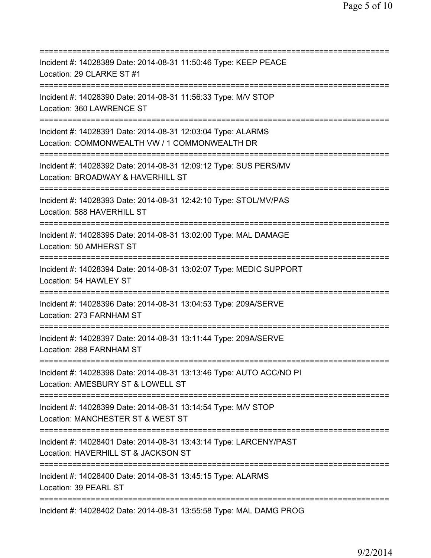| Incident #: 14028389 Date: 2014-08-31 11:50:46 Type: KEEP PEACE<br>Location: 29 CLARKE ST #1                                                       |
|----------------------------------------------------------------------------------------------------------------------------------------------------|
| Incident #: 14028390 Date: 2014-08-31 11:56:33 Type: M/V STOP<br>Location: 360 LAWRENCE ST                                                         |
| Incident #: 14028391 Date: 2014-08-31 12:03:04 Type: ALARMS<br>Location: COMMONWEALTH VW / 1 COMMONWEALTH DR<br>================================== |
| Incident #: 14028392 Date: 2014-08-31 12:09:12 Type: SUS PERS/MV<br>Location: BROADWAY & HAVERHILL ST                                              |
| Incident #: 14028393 Date: 2014-08-31 12:42:10 Type: STOL/MV/PAS<br>Location: 588 HAVERHILL ST<br>:========================                        |
| Incident #: 14028395 Date: 2014-08-31 13:02:00 Type: MAL DAMAGE<br>Location: 50 AMHERST ST<br>:====================                                |
| Incident #: 14028394 Date: 2014-08-31 13:02:07 Type: MEDIC SUPPORT<br>Location: 54 HAWLEY ST                                                       |
| Incident #: 14028396 Date: 2014-08-31 13:04:53 Type: 209A/SERVE<br>Location: 273 FARNHAM ST                                                        |
| :================================<br>Incident #: 14028397 Date: 2014-08-31 13:11:44 Type: 209A/SERVE<br>Location: 288 FARNHAM ST                   |
| Incident #: 14028398 Date: 2014-08-31 13:13:46 Type: AUTO ACC/NO PI<br>Location: AMESBURY ST & LOWELL ST                                           |
| Incident #: 14028399 Date: 2014-08-31 13:14:54 Type: M/V STOP<br>Location: MANCHESTER ST & WEST ST<br>====================================         |
| Incident #: 14028401 Date: 2014-08-31 13:43:14 Type: LARCENY/PAST<br>Location: HAVERHILL ST & JACKSON ST                                           |
| Incident #: 14028400 Date: 2014-08-31 13:45:15 Type: ALARMS<br>Location: 39 PEARL ST                                                               |
| Incident #: 14028402 Date: 2014-08-31 13:55:58 Type: MAL DAMG PROG                                                                                 |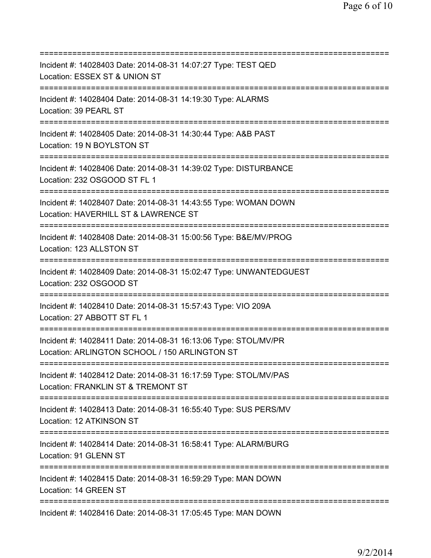=========================================================================== Incident #: 14028403 Date: 2014-08-31 14:07:27 Type: TEST QED Location: ESSEX ST & UNION ST =========================================================================== Incident #: 14028404 Date: 2014-08-31 14:19:30 Type: ALARMS Location: 39 PEARL ST =========================================================================== Incident #: 14028405 Date: 2014-08-31 14:30:44 Type: A&B PAST Location: 19 N BOYLSTON ST =========================================================================== Incident #: 14028406 Date: 2014-08-31 14:39:02 Type: DISTURBANCE Location: 232 OSGOOD ST FL 1 =========================================================================== Incident #: 14028407 Date: 2014-08-31 14:43:55 Type: WOMAN DOWN Location: HAVERHILL ST & LAWRENCE ST =========================================================================== Incident #: 14028408 Date: 2014-08-31 15:00:56 Type: B&E/MV/PROG Location: 123 ALLSTON ST =========================================================================== Incident #: 14028409 Date: 2014-08-31 15:02:47 Type: UNWANTEDGUEST Location: 232 OSGOOD ST =========================================================================== Incident #: 14028410 Date: 2014-08-31 15:57:43 Type: VIO 209A Location: 27 ABBOTT ST FL 1 =========================================================================== Incident #: 14028411 Date: 2014-08-31 16:13:06 Type: STOL/MV/PR Location: ARLINGTON SCHOOL / 150 ARLINGTON ST =========================================================================== Incident #: 14028412 Date: 2014-08-31 16:17:59 Type: STOL/MV/PAS Location: FRANKLIN ST & TREMONT ST =========================================================================== Incident #: 14028413 Date: 2014-08-31 16:55:40 Type: SUS PERS/MV Location: 12 ATKINSON ST =========================================================================== Incident #: 14028414 Date: 2014-08-31 16:58:41 Type: ALARM/BURG Location: 91 GLENN ST =========================================================================== Incident #: 14028415 Date: 2014-08-31 16:59:29 Type: MAN DOWN Location: 14 GREEN ST =========================================================================== Incident #: 14028416 Date: 2014-08-31 17:05:45 Type: MAN DOWN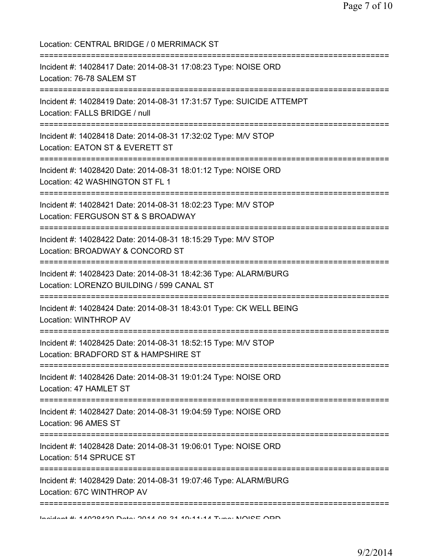Location: CENTRAL BRIDGE / 0 MERRIMACK ST =========================================================================== Incident #: 14028417 Date: 2014-08-31 17:08:23 Type: NOISE ORD Location: 76-78 SALEM ST =========================================================================== Incident #: 14028419 Date: 2014-08-31 17:31:57 Type: SUICIDE ATTEMPT Location: FALLS BRIDGE / null =========================================================================== Incident #: 14028418 Date: 2014-08-31 17:32:02 Type: M/V STOP Location: EATON ST & EVERETT ST =========================================================================== Incident #: 14028420 Date: 2014-08-31 18:01:12 Type: NOISE ORD Location: 42 WASHINGTON ST FL 1 =========================================================================== Incident #: 14028421 Date: 2014-08-31 18:02:23 Type: M/V STOP Location: FERGUSON ST & S BROADWAY =========================================================================== Incident #: 14028422 Date: 2014-08-31 18:15:29 Type: M/V STOP Location: BROADWAY & CONCORD ST =========================================================================== Incident #: 14028423 Date: 2014-08-31 18:42:36 Type: ALARM/BURG Location: LORENZO BUILDING / 599 CANAL ST =========================================================================== Incident #: 14028424 Date: 2014-08-31 18:43:01 Type: CK WELL BEING Location: WINTHROP AV =========================================================================== Incident #: 14028425 Date: 2014-08-31 18:52:15 Type: M/V STOP Location: BRADFORD ST & HAMPSHIRE ST =========================================================================== Incident #: 14028426 Date: 2014-08-31 19:01:24 Type: NOISE ORD Location: 47 HAMLET ST =========================================================================== Incident #: 14028427 Date: 2014-08-31 19:04:59 Type: NOISE ORD Location: 96 AMES ST =========================================================================== Incident #: 14028428 Date: 2014-08-31 19:06:01 Type: NOISE ORD Location: 514 SPRUCE ST =========================================================================== Incident #: 14028429 Date: 2014-08-31 19:07:46 Type: ALARM/BURG Location: 67C WINTHROP AV =========================================================================== Incident #: 14028430 Date: 2014 08 31 19:11:14 Type: NOISE ORD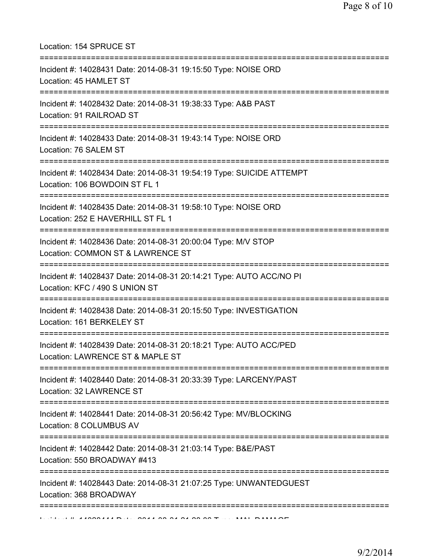Location: 154 SPRUCE ST =========================================================================== Incident #: 14028431 Date: 2014-08-31 19:15:50 Type: NOISE ORD Location: 45 HAMLET ST =========================================================================== Incident #: 14028432 Date: 2014-08-31 19:38:33 Type: A&B PAST Location: 91 RAILROAD ST =========================================================================== Incident #: 14028433 Date: 2014-08-31 19:43:14 Type: NOISE ORD Location: 76 SALEM ST =========================================================================== Incident #: 14028434 Date: 2014-08-31 19:54:19 Type: SUICIDE ATTEMPT Location: 106 BOWDOIN ST FL 1 =========================================================================== Incident #: 14028435 Date: 2014-08-31 19:58:10 Type: NOISE ORD Location: 252 E HAVERHILL ST FL 1 =========================================================================== Incident #: 14028436 Date: 2014-08-31 20:00:04 Type: M/V STOP Location: COMMON ST & LAWRENCE ST =========================================================================== Incident #: 14028437 Date: 2014-08-31 20:14:21 Type: AUTO ACC/NO PI Location: KFC / 490 S UNION ST =========================================================================== Incident #: 14028438 Date: 2014-08-31 20:15:50 Type: INVESTIGATION Location: 161 BERKELEY ST =========================================================================== Incident #: 14028439 Date: 2014-08-31 20:18:21 Type: AUTO ACC/PED Location: LAWRENCE ST & MAPLE ST =========================================================================== Incident #: 14028440 Date: 2014-08-31 20:33:39 Type: LARCENY/PAST Location: 32 LAWRENCE ST =========================================================================== Incident #: 14028441 Date: 2014-08-31 20:56:42 Type: MV/BLOCKING Location: 8 COLUMBUS AV =========================================================================== Incident #: 14028442 Date: 2014-08-31 21:03:14 Type: B&E/PAST Location: 550 BROADWAY #413 =========================================================================== Incident #: 14028443 Date: 2014-08-31 21:07:25 Type: UNWANTEDGUEST Location: 368 BROADWAY ===========================================================================  $\overline{11}$   $\overline{14000111}$  D.:  $\overline{16011}$  on at  $\overline{16000}$  of  $\overline{1600}$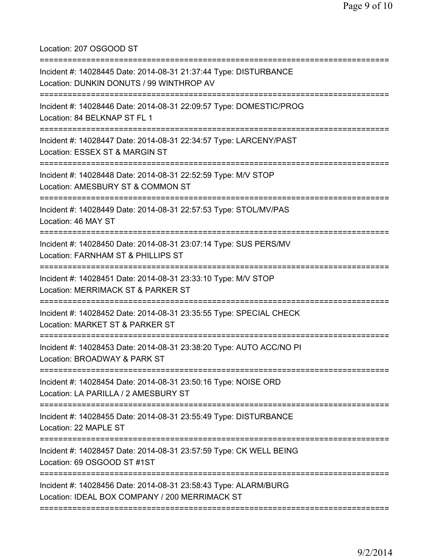Location: 207 OSGOOD ST =========================================================================== Incident #: 14028445 Date: 2014-08-31 21:37:44 Type: DISTURBANCE Location: DUNKIN DONUTS / 99 WINTHROP AV =========================================================================== Incident #: 14028446 Date: 2014-08-31 22:09:57 Type: DOMESTIC/PROG Location: 84 BELKNAP ST FL 1 =========================================================================== Incident #: 14028447 Date: 2014-08-31 22:34:57 Type: LARCENY/PAST Location: ESSEX ST & MARGIN ST =========================================================================== Incident #: 14028448 Date: 2014-08-31 22:52:59 Type: M/V STOP Location: AMESBURY ST & COMMON ST =========================================================================== Incident #: 14028449 Date: 2014-08-31 22:57:53 Type: STOL/MV/PAS Location: 46 MAY ST =========================================================================== Incident #: 14028450 Date: 2014-08-31 23:07:14 Type: SUS PERS/MV Location: FARNHAM ST & PHILLIPS ST =========================================================================== Incident #: 14028451 Date: 2014-08-31 23:33:10 Type: M/V STOP Location: MERRIMACK ST & PARKER ST =========================================================================== Incident #: 14028452 Date: 2014-08-31 23:35:55 Type: SPECIAL CHECK Location: MARKET ST & PARKER ST =========================================================================== Incident #: 14028453 Date: 2014-08-31 23:38:20 Type: AUTO ACC/NO PI Location: BROADWAY & PARK ST =========================================================================== Incident #: 14028454 Date: 2014-08-31 23:50:16 Type: NOISE ORD Location: LA PARILLA / 2 AMESBURY ST =========================================================================== Incident #: 14028455 Date: 2014-08-31 23:55:49 Type: DISTURBANCE Location: 22 MAPLE ST =========================================================================== Incident #: 14028457 Date: 2014-08-31 23:57:59 Type: CK WELL BEING Location: 69 OSGOOD ST #1ST =========================================================================== Incident #: 14028456 Date: 2014-08-31 23:58:43 Type: ALARM/BURG Location: IDEAL BOX COMPANY / 200 MERRIMACK ST ===========================================================================